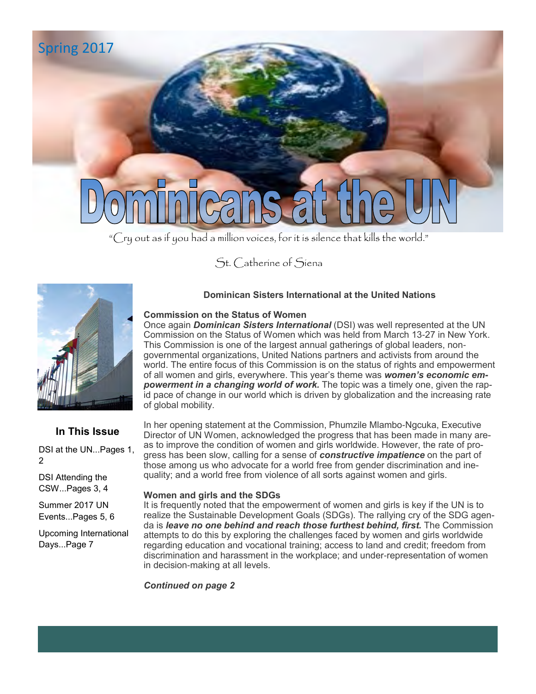

"Cry out as if you had a million voices, for it is silence that kills the world."

St. Catherine of Siena



### **In This Issue**

DSI at the UN...Pages 1, 2

DSI Attending the CSW...Pages 3, 4

Summer 2017 UN Events...Pages 5, 6

Upcoming International Days...Page 7

#### **Dominican Sisters International at the United Nations**

#### **Commission on the Status of Women**

Once again *Dominican Sisters International* (DSI) was well represented at the UN Commission on the Status of Women which was held from March 13-27 in New York. This Commission is one of the largest annual gatherings of global leaders, nongovernmental organizations, United Nations partners and activists from around the world. The entire focus of this Commission is on the status of rights and empowerment of all women and girls, everywhere. This year's theme was *women's economic empowerment in a changing world of work.* The topic was a timely one, given the rapid pace of change in our world which is driven by globalization and the increasing rate of global mobility.

In her opening statement at the Commission, Phumzile Mlambo-Ngcuka, Executive Director of UN Women, acknowledged the progress that has been made in many areas to improve the condition of women and girls worldwide. However, the rate of progress has been slow, calling for a sense of *constructive impatience* on the part of those among us who advocate for a world free from gender discrimination and inequality; and a world free from violence of all sorts against women and girls.

#### **Women and girls and the SDGs**

It is frequently noted that the empowerment of women and girls is key if the UN is to realize the Sustainable Development Goals (SDGs). The rallying cry of the SDG agenda is *leave no one behind and reach those furthest behind, first.* The Commission attempts to do this by exploring the challenges faced by women and girls worldwide regarding education and vocational training; access to land and credit; freedom from discrimination and harassment in the workplace; and under-representation of women in decision-making at all levels.

*Continued on page 2*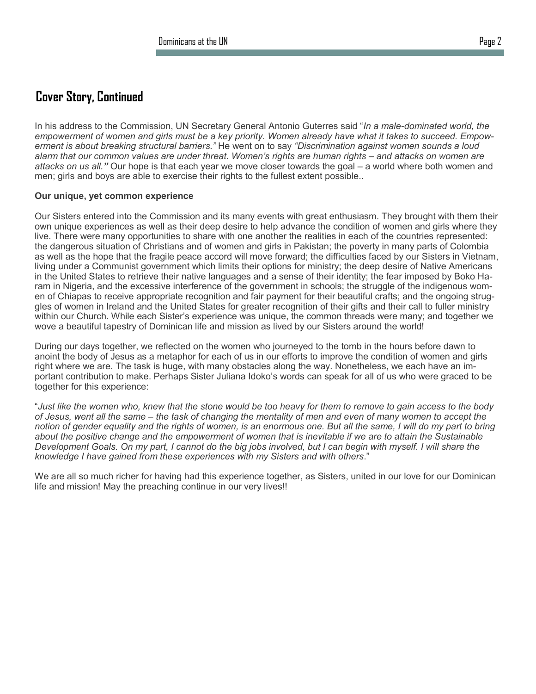### **Cover Story, Continued**

In his address to the Commission, UN Secretary General Antonio Guterres said "*In a male-dominated world, the empowerment of women and girls must be a key priority. Women already have what it takes to succeed. Empowerment is about breaking structural barriers."* He went on to say *"Discrimination against women sounds a loud alarm that our common values are under threat. Women's rights are human rights – and attacks on women are attacks on us all."* Our hope is that each year we move closer towards the goal – a world where both women and men; girls and boys are able to exercise their rights to the fullest extent possible..

#### **Our unique, yet common experience**

Our Sisters entered into the Commission and its many events with great enthusiasm. They brought with them their own unique experiences as well as their deep desire to help advance the condition of women and girls where they live. There were many opportunities to share with one another the realities in each of the countries represented: the dangerous situation of Christians and of women and girls in Pakistan; the poverty in many parts of Colombia as well as the hope that the fragile peace accord will move forward; the difficulties faced by our Sisters in Vietnam, living under a Communist government which limits their options for ministry; the deep desire of Native Americans in the United States to retrieve their native languages and a sense of their identity; the fear imposed by Boko Haram in Nigeria, and the excessive interference of the government in schools; the struggle of the indigenous women of Chiapas to receive appropriate recognition and fair payment for their beautiful crafts; and the ongoing struggles of women in Ireland and the United States for greater recognition of their gifts and their call to fuller ministry within our Church. While each Sister's experience was unique, the common threads were many; and together we wove a beautiful tapestry of Dominican life and mission as lived by our Sisters around the world!

During our days together, we reflected on the women who journeyed to the tomb in the hours before dawn to anoint the body of Jesus as a metaphor for each of us in our efforts to improve the condition of women and girls right where we are. The task is huge, with many obstacles along the way. Nonetheless, we each have an important contribution to make. Perhaps Sister Juliana Idoko's words can speak for all of us who were graced to be together for this experience:

"*Just like the women who, knew that the stone would be too heavy for them to remove to gain access to the body of Jesus, went all the same – the task of changing the mentality of men and even of many women to accept the notion of gender equality and the rights of women, is an enormous one. But all the same, I will do my part to bring about the positive change and the empowerment of women that is inevitable if we are to attain the Sustainable Development Goals. On my part, I cannot do the big jobs involved, but I can begin with myself. I will share the knowledge I have gained from these experiences with my Sisters and with others*."

We are all so much richer for having had this experience together, as Sisters, united in our love for our Dominican life and mission! May the preaching continue in our very lives!!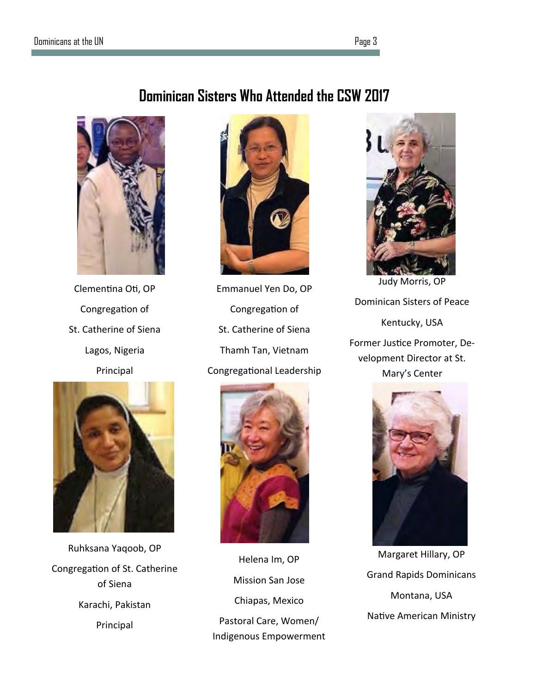# **Dominican Sisters Who Attended the CSW 2017**



Clementina Oti, OP Congregation of St. Catherine of Siena Lagos, Nigeria Principal



Ruhksana Yaqoob, OP Congregation of St. Catherine of Siena Karachi, Pakistan Principal



Emmanuel Yen Do, OP Congregation of St. Catherine of Siena Thamh Tan, Vietnam Congregational Leadership



Helena Im, OP Mission San Jose Chiapas, Mexico Pastoral Care, Women/ Indigenous Empowerment



Dominican Sisters of Peace Kentucky, USA Former Justice Promoter, Development Director at St. Mary's Center



Margaret Hillary, OP Grand Rapids Dominicans Montana, USA Native American Ministry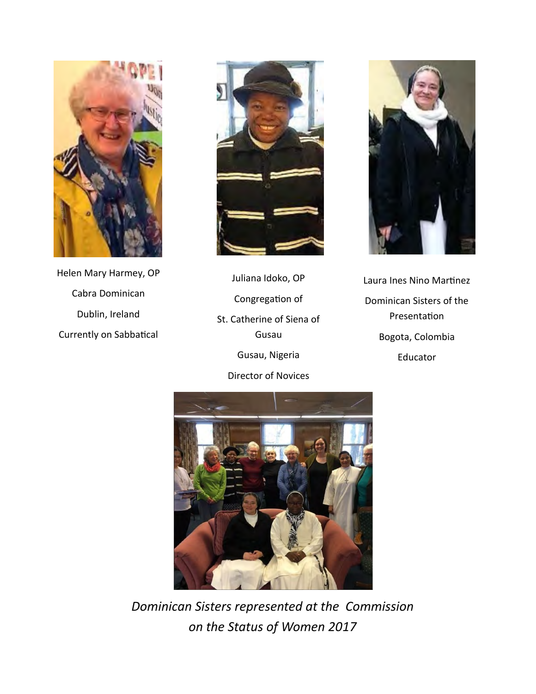

Helen Mary Harmey, OP Cabra Dominican Dublin, Ireland Currently on Sabbatical



Juliana Idoko, OP Congregation of St. Catherine of Siena of Gusau Gusau, Nigeria Director of Novices



Laura Ines Nino Martinez Dominican Sisters of the Presentation Bogota, Colombia Educator



*Dominican Sisters represented at the Commission on the Status of Women 2017*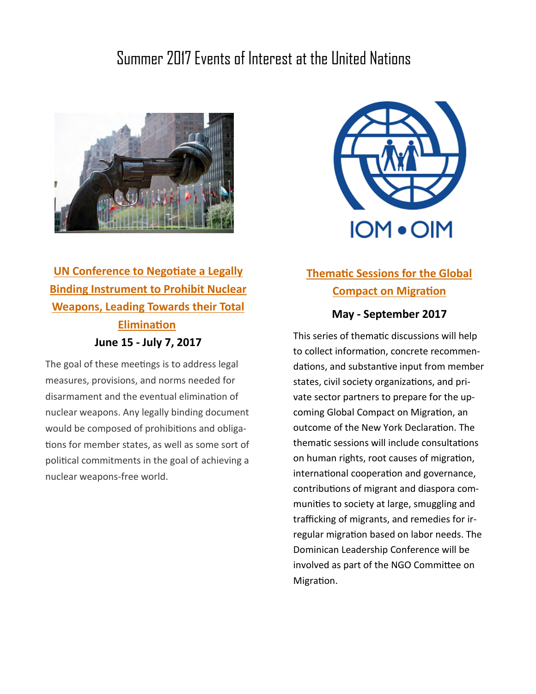# Summer 2017 Events of Interest at the United Nations



## **[UN Conference to Negotiate a Legally](https://www.un.org/disarmament/ptnw/index.html)  [Binding Instrument to Prohibit Nuclear](https://www.un.org/disarmament/ptnw/index.html)  [Weapons, Leading Towards their Total](https://www.un.org/disarmament/ptnw/index.html)  [Elimination](https://www.un.org/disarmament/ptnw/index.html) June 15 - July 7, 2017**

The goal of these meetings is to address legal measures, provisions, and norms needed for disarmament and the eventual elimination of nuclear weapons. Any legally binding document would be composed of prohibitions and obligations for member states, as well as some sort of political commitments in the goal of achieving a nuclear weapons-free world.



## **[Thematic Sessions for the Global](https://www.iom.int/global-compact-migration)  [Compact on Migration](https://www.iom.int/global-compact-migration)**

### **May - September 2017**

This series of thematic discussions will help to collect information, concrete recommendations, and substantive input from member states, civil society organizations, and private sector partners to prepare for the upcoming Global Compact on Migration, an outcome of the New York Declaration. The thematic sessions will include consultations on human rights, root causes of migration, international cooperation and governance, contributions of migrant and diaspora communities to society at large, smuggling and trafficking of migrants, and remedies for irregular migration based on labor needs. The Dominican Leadership Conference will be involved as part of the NGO Committee on Migration.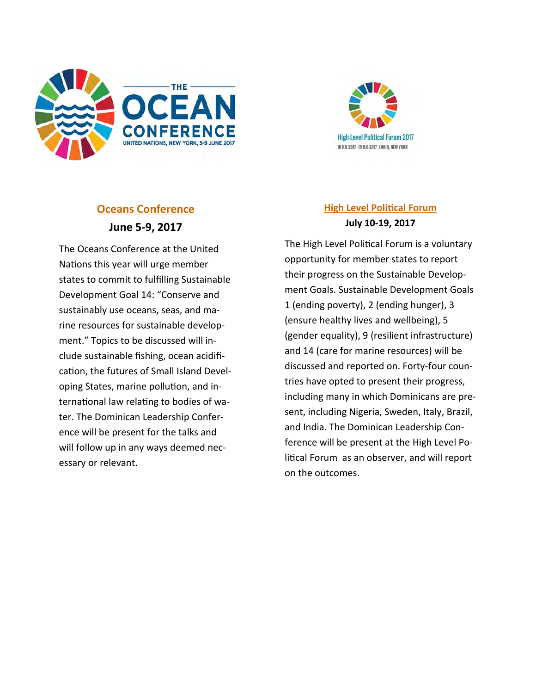



### **[Oceans Conference](https://www.un.org/disarmament/ptnw/index.html) June 5-9, 2017**

The Oceans Conference at the United Nations this year will urge member states to commit to fulfilling Sustainable Development Goal 14: "Conserve and sustainably use oceans, seas, and marine resources for sustainable development." Topics to be discussed will include sustainable fishing, ocean acidification, the futures of Small Island Developing States, marine pollution, and international law relating to bodies of water. The Dominican Leadership Conference will be present for the talks and will follow up in any ways deemed necessary or relevant.

### **[High Level Political Forum](https://sustainabledevelopment.un.org/hlpf) July 10-19, 2017**

The High Level Political Forum is a voluntary opportunity for member states to report their progress on the Sustainable Development Goals. Sustainable Development Goals 1 (ending poverty), 2 (ending hunger), 3 (ensure healthy lives and wellbeing), 5 (gender equality), 9 (resilient infrastructure) and 14 (care for marine resources) will be discussed and reported on. Forty-four countries have opted to present their progress, including many in which Dominicans are present, including Nigeria, Sweden, Italy, Brazil, and India. The Dominican Leadership Conference will be present at the High Level Political Forum as an observer, and will report on the outcomes.